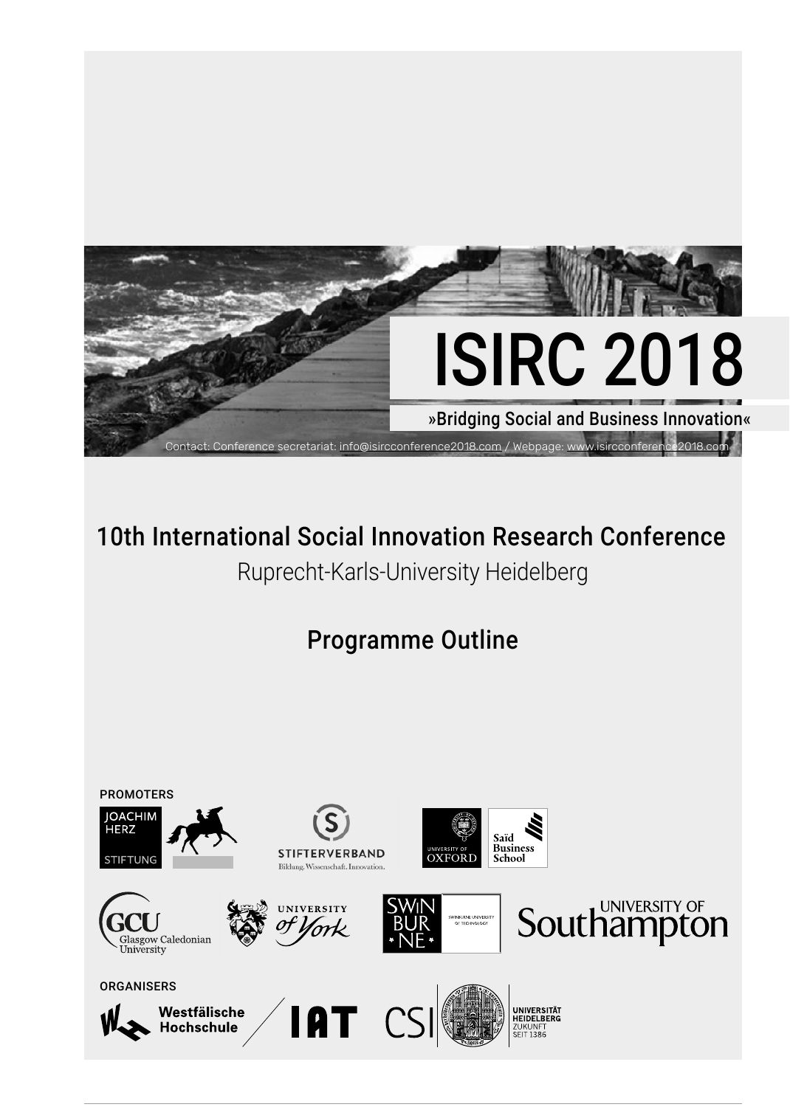

# 10th International Social Innovation Research Conference

Ruprecht-Karls-University Heidelberg

Programme Outline

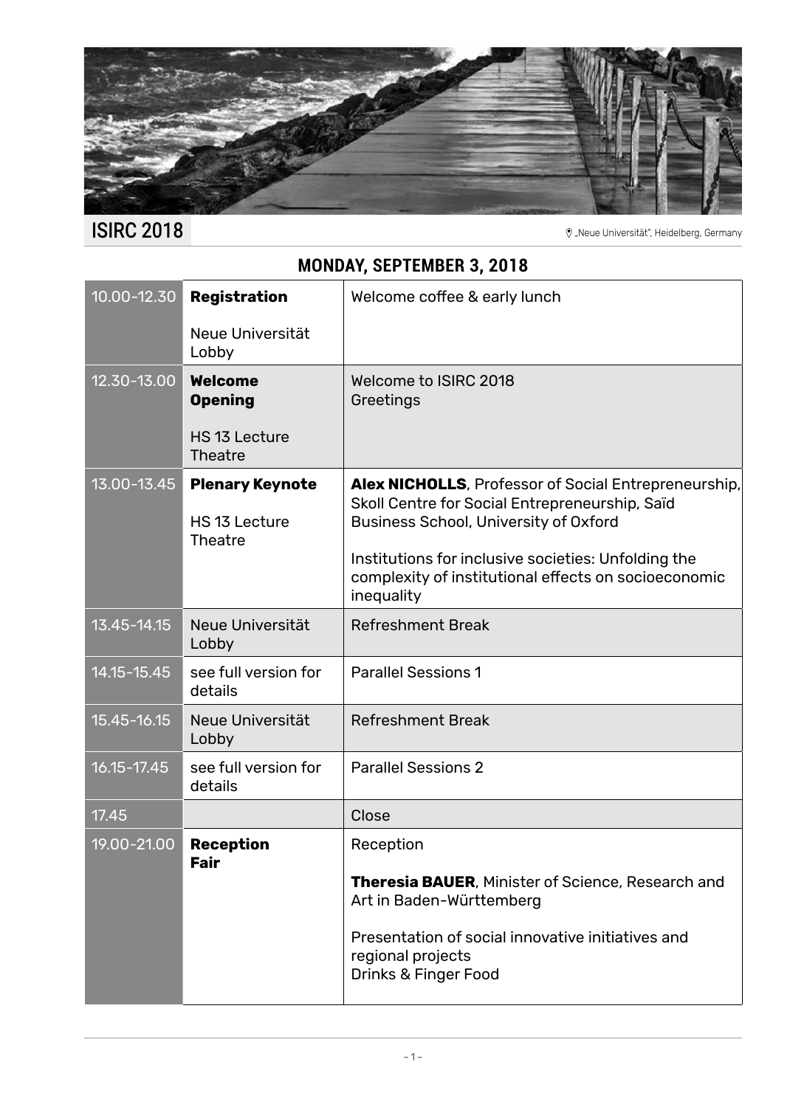

ISIRC 2018 <sup>Were Universität", Heidelberg, Germany</sup>

# **MONDAY, SEPTEMBER 3, 2018**

| 10.00-12.30 | Registration                                              | Welcome coffee & early lunch                                                                                                                                  |
|-------------|-----------------------------------------------------------|---------------------------------------------------------------------------------------------------------------------------------------------------------------|
|             | Neue Universität<br>Lobby                                 |                                                                                                                                                               |
| 12.30-13.00 | <b>Welcome</b><br><b>Opening</b>                          | Welcome to ISIRC 2018<br>Greetings                                                                                                                            |
|             | HS 13 Lecture<br><b>Theatre</b>                           |                                                                                                                                                               |
| 13.00-13.45 | <b>Plenary Keynote</b><br>HS 13 Lecture<br><b>Theatre</b> | <b>Alex NICHOLLS, Professor of Social Entrepreneurship,</b><br>Skoll Centre for Social Entrepreneurship, Saïd<br><b>Business School, University of Oxford</b> |
|             |                                                           | Institutions for inclusive societies: Unfolding the<br>complexity of institutional effects on socioeconomic<br>inequality                                     |
| 13.45-14.15 | Neue Universität<br>Lobby                                 | <b>Refreshment Break</b>                                                                                                                                      |
| 14.15-15.45 | see full version for<br>details                           | <b>Parallel Sessions 1</b>                                                                                                                                    |
| 15.45-16.15 | Neue Universität<br>Lobby                                 | <b>Refreshment Break</b>                                                                                                                                      |
| 16.15-17.45 | see full version for<br>details                           | <b>Parallel Sessions 2</b>                                                                                                                                    |
| 17.45       |                                                           | Close                                                                                                                                                         |
| 19.00-21.00 | <b>Reception</b><br>Fair                                  | Reception                                                                                                                                                     |
|             |                                                           | <b>Theresia BAUER, Minister of Science, Research and</b><br>Art in Baden-Württemberg                                                                          |
|             |                                                           | Presentation of social innovative initiatives and<br>regional projects<br>Drinks & Finger Food                                                                |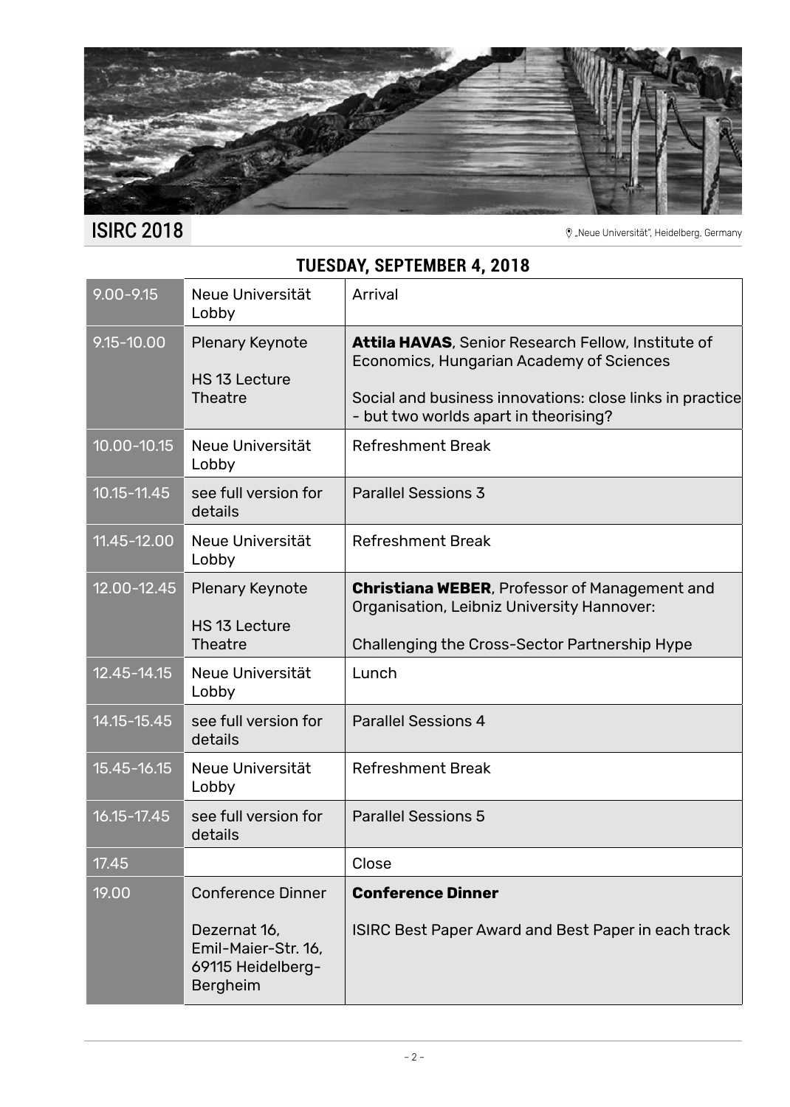

### **TUESDAY, SEPTEMBER 4, 2018**

| $9.00 - 9.15$   | Neue Universität<br>Lobby                                                                               | Arrival                                                                                                                                                                                                    |
|-----------------|---------------------------------------------------------------------------------------------------------|------------------------------------------------------------------------------------------------------------------------------------------------------------------------------------------------------------|
| 9.15-10.00      | Plenary Keynote<br>HS 13 Lecture<br><b>Theatre</b>                                                      | <b>Attila HAVAS, Senior Research Fellow, Institute of</b><br>Economics, Hungarian Academy of Sciences<br>Social and business innovations: close links in practice<br>- but two worlds apart in theorising? |
| $10.00 - 10.15$ | Neue Universität<br>Lobby                                                                               | <b>Refreshment Break</b>                                                                                                                                                                                   |
| $10.15 - 11.45$ | see full version for<br>details                                                                         | <b>Parallel Sessions 3</b>                                                                                                                                                                                 |
| 11.45-12.00     | Neue Universität<br>Lobby                                                                               | <b>Refreshment Break</b>                                                                                                                                                                                   |
| 12.00-12.45     | <b>Plenary Keynote</b><br>HS 13 Lecture<br><b>Theatre</b>                                               | <b>Christiana WEBER</b> , Professor of Management and<br>Organisation, Leibniz University Hannover:<br>Challenging the Cross-Sector Partnership Hype                                                       |
| 12.45-14.15     | Neue Universität<br>Lobby                                                                               | Lunch                                                                                                                                                                                                      |
| 14.15-15.45     | see full version for<br>details                                                                         | <b>Parallel Sessions 4</b>                                                                                                                                                                                 |
| 15.45-16.15     | Neue Universität<br>Lobby                                                                               | <b>Refreshment Break</b>                                                                                                                                                                                   |
| 16.15-17.45     | see full version for<br>details                                                                         | <b>Parallel Sessions 5</b>                                                                                                                                                                                 |
| 17.45           |                                                                                                         | Close                                                                                                                                                                                                      |
| 19.00           | <b>Conference Dinner</b><br>Dezernat 16,<br>Emil-Maier-Str. 16,<br>69115 Heidelberg-<br><b>Bergheim</b> | <b>Conference Dinner</b><br><b>ISIRC Best Paper Award and Best Paper in each track</b>                                                                                                                     |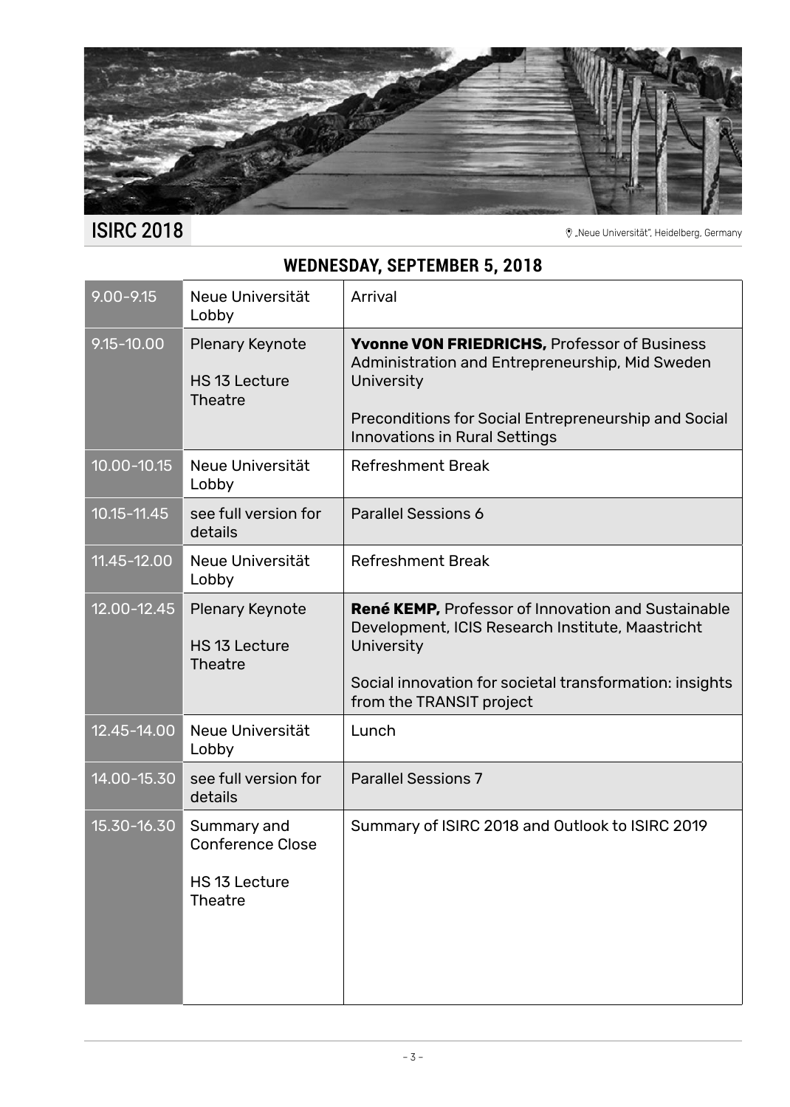

ISIRC 2018 <sup>Were Universität", Heidelberg, Germany</sup>

# **WEDNESDAY, SEPTEMBER 5, 2018**

| $9.00 - 9.15$   | Neue Universität<br>Lobby                                                 | Arrival                                                                                                                                                                                                              |
|-----------------|---------------------------------------------------------------------------|----------------------------------------------------------------------------------------------------------------------------------------------------------------------------------------------------------------------|
| $9.15 - 10.00$  | Plenary Keynote<br>HS 13 Lecture<br><b>Theatre</b>                        | <b>Yvonne VON FRIEDRICHS, Professor of Business</b><br>Administration and Entrepreneurship, Mid Sweden<br>University<br>Preconditions for Social Entrepreneurship and Social<br><b>Innovations in Rural Settings</b> |
| $10.00 - 10.15$ | Neue Universität<br>Lobby                                                 | <b>Refreshment Break</b>                                                                                                                                                                                             |
| $10.15 - 11.45$ | see full version for<br>details                                           | Parallel Sessions 6                                                                                                                                                                                                  |
| 11.45-12.00     | Neue Universität<br>Lobby                                                 | <b>Refreshment Break</b>                                                                                                                                                                                             |
| 12.00-12.45     | <b>Plenary Keynote</b><br>HS 13 Lecture<br><b>Theatre</b>                 | <b>René KEMP, Professor of Innovation and Sustainable</b><br>Development, ICIS Research Institute, Maastricht<br>University<br>Social innovation for societal transformation: insights<br>from the TRANSIT project   |
| 12.45-14.00     | Neue Universität<br>Lobby                                                 | Lunch                                                                                                                                                                                                                |
| 14.00-15.30     | see full version for<br>details                                           | <b>Parallel Sessions 7</b>                                                                                                                                                                                           |
| 15.30-16.30     | Summary and<br><b>Conference Close</b><br>HS 13 Lecture<br><b>Theatre</b> | Summary of ISIRC 2018 and Outlook to ISIRC 2019                                                                                                                                                                      |